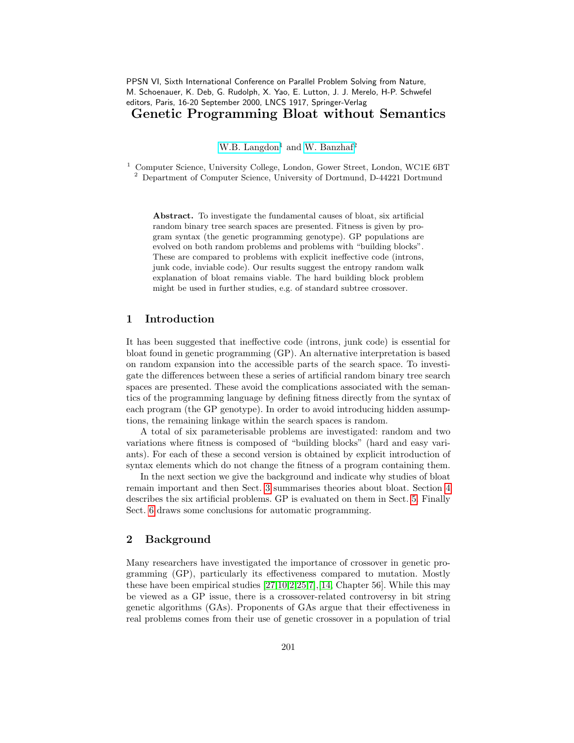PPSN VI, Sixth International Conference on Parallel Problem Solving from Nature, M. Schoenauer, K. Deb, G. Rudolph, X. Yao, E. Lutton, J. J. Merelo, H-P. Schwefel editors, Paris, 16-20 September 2000, LNCS 1917, Springer-Verlag

Genetic Programming Bloat without Semantics

[W.B. Langdon](http://www.cs.essex.ac.uk/staff/W.Langdon)<sup>1</sup> and [W. Banzhaf](http://www.cs.mun.ca/~banzhaf/)<sup>2</sup>

<sup>1</sup> Computer Science, University College, London, Gower Street, London, WC1E 6BT <sup>2</sup> Department of Computer Science, University of Dortmund, D-44221 Dortmund

Abstract. To investigate the fundamental causes of bloat, six artificial random binary tree search spaces are presented. Fitness is given by program syntax (the genetic programming genotype). GP populations are evolved on both random problems and problems with "building blocks". These are compared to problems with explicit ineffective code (introns, junk code, inviable code). Our results suggest the entropy random walk explanation of bloat remains viable. The hard building block problem might be used in further studies, e.g. of standard subtree crossover.

# 1 Introduction

It has been suggested that ineffective code (introns, junk code) is essential for bloat found in genetic programming (GP). An alternative interpretation is based on random expansion into the accessible parts of the search space. To investigate the differences between these a series of artificial random binary tree search spaces are presented. These avoid the complications associated with the semantics of the programming language by defining fitness directly from the syntax of each program (the GP genotype). In order to avoid introducing hidden assumptions, the remaining linkage within the search spaces is random.

A total of six parameterisable problems are investigated: random and two variations where fitness is composed of "building blocks" (hard and easy variants). For each of these a second version is obtained by explicit introduction of syntax elements which do not change the fitness of a program containing them.

In the next section we give the background and indicate why studies of bloat remain important and then Sect. [3](#page-1-0) summarises theories about bloat. Section [4](#page-2-0) describes the six artificial problems. GP is evaluated on them in Sect. [5.](#page-3-0) Finally Sect. [6](#page-8-0) draws some conclusions for automatic programming.

# 2 Background

Many researchers have investigated the importance of crossover in genetic programming (GP), particularly its effectiveness compared to mutation. Mostly these have been empirical studies [\[27](#page-9-0)[,10](#page-8-1)[,2,](#page-8-2)[25](#page-9-1)[,7\]](#page-8-3),[\[14,](#page-9-2) Chapter 56]. While this may be viewed as a GP issue, there is a crossover-related controversy in bit string genetic algorithms (GAs). Proponents of GAs argue that their effectiveness in real problems comes from their use of genetic crossover in a population of trial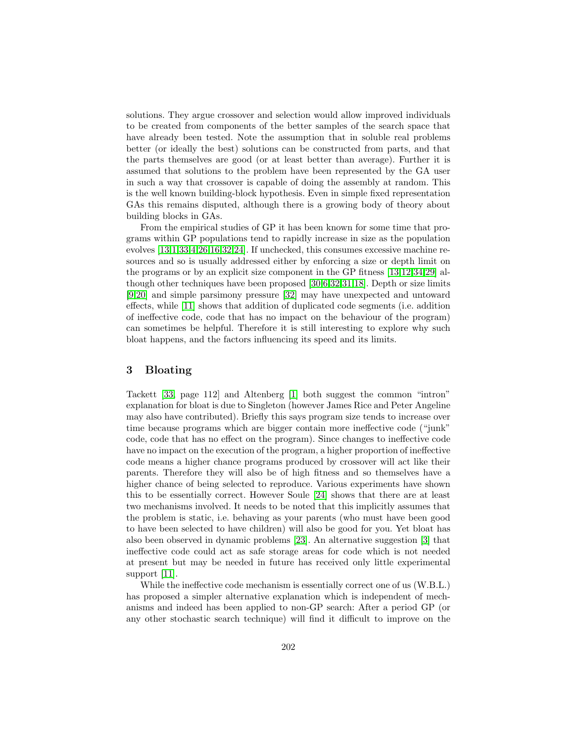solutions. They argue crossover and selection would allow improved individuals to be created from components of the better samples of the search space that have already been tested. Note the assumption that in soluble real problems better (or ideally the best) solutions can be constructed from parts, and that the parts themselves are good (or at least better than average). Further it is assumed that solutions to the problem have been represented by the GA user in such a way that crossover is capable of doing the assembly at random. This is the well known building-block hypothesis. Even in simple fixed representation GAs this remains disputed, although there is a growing body of theory about building blocks in GAs.

From the empirical studies of GP it has been known for some time that programs within GP populations tend to rapidly increase in size as the population evolves [\[13](#page-9-3)[,1](#page-8-4)[,33,](#page-9-4)[4,](#page-8-5)[26,](#page-9-5)[16](#page-9-6)[,32,](#page-9-7)[24\]](#page-9-8). If unchecked, this consumes excessive machine resources and so is usually addressed either by enforcing a size or depth limit on the programs or by an explicit size component in the GP fitness [\[13](#page-9-3)[,12](#page-9-9)[,34,](#page-9-10)[29\]](#page-9-11) although other techniques have been proposed [\[30,](#page-9-12)[6,](#page-8-6)[32](#page-9-7)[,31](#page-9-13)[,18\]](#page-9-14). Depth or size limits [\[9,](#page-8-7)[20\]](#page-9-15) and simple parsimony pressure [\[32\]](#page-9-7) may have unexpected and untoward effects, while [\[11\]](#page-9-16) shows that addition of duplicated code segments (i.e. addition of ineffective code, code that has no impact on the behaviour of the program) can sometimes be helpful. Therefore it is still interesting to explore why such bloat happens, and the factors influencing its speed and its limits.

### <span id="page-1-0"></span>3 Bloating

Tackett [\[33,](#page-9-4) page 112] and Altenberg [\[1\]](#page-8-4) both suggest the common "intron" explanation for bloat is due to Singleton (however James Rice and Peter Angeline may also have contributed). Briefly this says program size tends to increase over time because programs which are bigger contain more ineffective code ("junk" code, code that has no effect on the program). Since changes to ineffective code have no impact on the execution of the program, a higher proportion of ineffective code means a higher chance programs produced by crossover will act like their parents. Therefore they will also be of high fitness and so themselves have a higher chance of being selected to reproduce. Various experiments have shown this to be essentially correct. However Soule [\[24\]](#page-9-8) shows that there are at least two mechanisms involved. It needs to be noted that this implicitly assumes that the problem is static, i.e. behaving as your parents (who must have been good to have been selected to have children) will also be good for you. Yet bloat has also been observed in dynamic problems [\[23\]](#page-9-17). An alternative suggestion [\[3\]](#page-8-8) that ineffective code could act as safe storage areas for code which is not needed at present but may be needed in future has received only little experimental support [\[11\]](#page-9-16).

While the ineffective code mechanism is essentially correct one of us (W.B.L.) has proposed a simpler alternative explanation which is independent of mechanisms and indeed has been applied to non-GP search: After a period GP (or any other stochastic search technique) will find it difficult to improve on the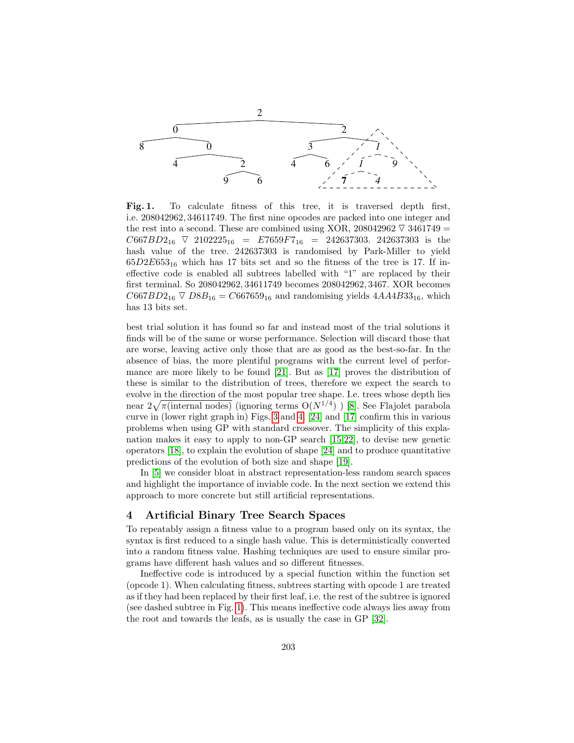

<span id="page-2-1"></span>Fig. 1. To calculate fitness of this tree, it is traversed depth first, i.e. 208042962, 34611749. The first nine opcodes are packed into one integer and the rest into a second. These are combined using XOR, 208042962  $\overline{V}$  3461749 =  $C667BD2_{16}$   $\overline{\vee}$  2102225<sub>16</sub> = E7659F7<sub>16</sub> = 242637303. 242637303 is the hash value of the tree. 242637303 is randomised by Park-Miller to yield  $65D2E653_{16}$  which has 17 bits set and so the fitness of the tree is 17. If ineffective code is enabled all subtrees labelled with "1" are replaced by their first terminal. So 208042962, 34611749 becomes 208042962, 3467. XOR becomes  $C667BD2_{16} \nabla DBB_{16} = C667659_{16}$  and randomising yields  $4AA4B33_{16}$ , which has 13 bits set.

best trial solution it has found so far and instead most of the trial solutions it finds will be of the same or worse performance. Selection will discard those that are worse, leaving active only those that are as good as the best-so-far. In the absence of bias, the more plentiful programs with the current level of performance are more likely to be found [\[21\]](#page-9-18). But as [\[17\]](#page-9-19) proves the distribution of these is similar to the distribution of trees, therefore we expect the search to evolve in the direction of the most popular tree shape. I.e. trees whose depth lies near  $2\sqrt{\pi}$ (internal nodes) (ignoring terms  $O(N^{1/4})$ ) [\[8\]](#page-8-9). See Flajolet parabola curve in (lower right graph in) Figs. [3](#page-6-0) and [4.](#page-6-1) [\[24\]](#page-9-8) and [\[17\]](#page-9-19) confirm this in various problems when using GP with standard crossover. The simplicity of this explanation makes it easy to apply to non-GP search [\[15](#page-9-20)[,22\]](#page-9-21), to devise new genetic operators [\[18\]](#page-9-14), to explain the evolution of shape [\[24\]](#page-9-8) and to produce quantitative predictions of the evolution of both size and shape [\[19\]](#page-9-22).

In [\[5\]](#page-8-10) we consider bloat in abstract representation-less random search spaces and highlight the importance of inviable code. In the next section we extend this approach to more concrete but still artificial representations.

### <span id="page-2-0"></span>4 Artificial Binary Tree Search Spaces

To repeatably assign a fitness value to a program based only on its syntax, the syntax is first reduced to a single hash value. This is deterministically converted into a random fitness value. Hashing techniques are used to ensure similar programs have different hash values and so different fitnesses.

Ineffective code is introduced by a special function within the function set (opcode 1). When calculating fitness, subtrees starting with opcode 1 are treated as if they had been replaced by their first leaf, i.e. the rest of the subtree is ignored (see dashed subtree in Fig. [1\)](#page-2-1). This means ineffective code always lies away from the root and towards the leafs, as is usually the case in GP [\[32\]](#page-9-7).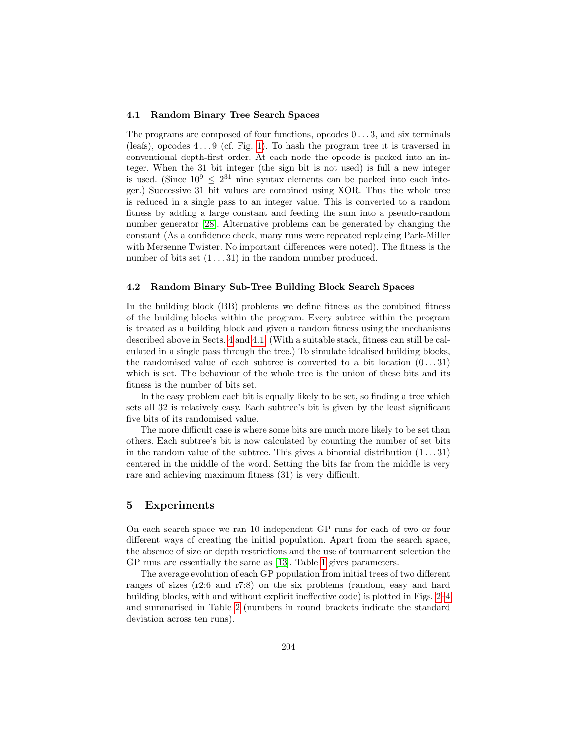#### <span id="page-3-1"></span>4.1 Random Binary Tree Search Spaces

The programs are composed of four functions, opcodes 0 . . . 3, and six terminals (leafs), opcodes  $4 \dots 9$  (cf. Fig. [1\)](#page-2-1). To hash the program tree it is traversed in conventional depth-first order. At each node the opcode is packed into an integer. When the 31 bit integer (the sign bit is not used) is full a new integer is used. (Since  $10^9 \leq 2^{31}$  nine syntax elements can be packed into each integer.) Successive 31 bit values are combined using XOR. Thus the whole tree is reduced in a single pass to an integer value. This is converted to a random fitness by adding a large constant and feeding the sum into a pseudo-random number generator [\[28\]](#page-9-23). Alternative problems can be generated by changing the constant (As a confidence check, many runs were repeated replacing Park-Miller with Mersenne Twister. No important differences were noted). The fitness is the number of bits set  $(1 \dots 31)$  in the random number produced.

#### 4.2 Random Binary Sub-Tree Building Block Search Spaces

In the building block (BB) problems we define fitness as the combined fitness of the building blocks within the program. Every subtree within the program is treated as a building block and given a random fitness using the mechanisms described above in Sects. [4](#page-2-0) and [4.1.](#page-3-1) (With a suitable stack, fitness can still be calculated in a single pass through the tree.) To simulate idealised building blocks, the randomised value of each subtree is converted to a bit location  $(0...31)$ which is set. The behaviour of the whole tree is the union of these bits and its fitness is the number of bits set.

In the easy problem each bit is equally likely to be set, so finding a tree which sets all 32 is relatively easy. Each subtree's bit is given by the least significant five bits of its randomised value.

The more difficult case is where some bits are much more likely to be set than others. Each subtree's bit is now calculated by counting the number of set bits in the random value of the subtree. This gives a binomial distribution  $(1 \dots 31)$ centered in the middle of the word. Setting the bits far from the middle is very rare and achieving maximum fitness (31) is very difficult.

# <span id="page-3-0"></span>5 Experiments

On each search space we ran 10 independent GP runs for each of two or four different ways of creating the initial population. Apart from the search space, the absence of size or depth restrictions and the use of tournament selection the GP runs are essentially the same as [\[13\]](#page-9-3). Table [1](#page-4-0) gives parameters.

The average evolution of each GP population from initial trees of two different ranges of sizes (r2:6 and r7:8) on the six problems (random, easy and hard building blocks, with and without explicit ineffective code) is plotted in Figs. [2–](#page-5-0)[4](#page-6-1) and summarised in Table [2](#page-5-1) (numbers in round brackets indicate the standard deviation across ten runs).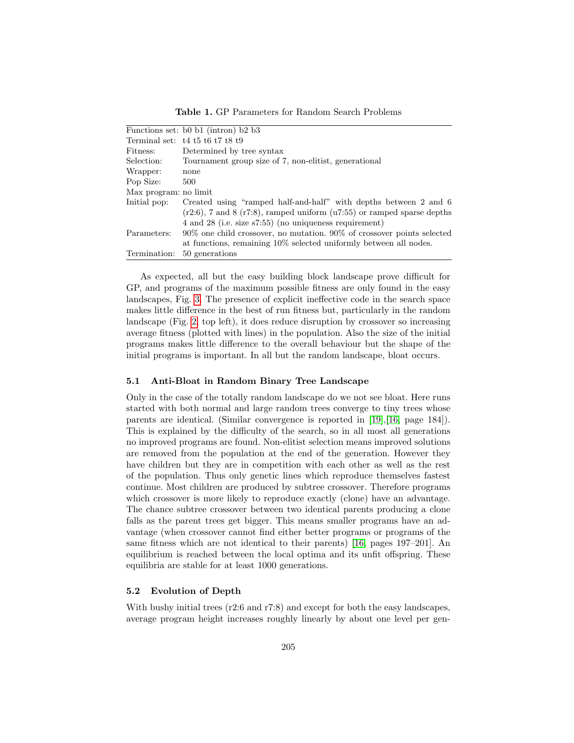<span id="page-4-0"></span>Table 1. GP Parameters for Random Search Problems

| Functions set: b0 b1 (intron) b2 b3                                            |  |  |  |  |  |  |  |
|--------------------------------------------------------------------------------|--|--|--|--|--|--|--|
| Terminal set: $t4 t5 t6 t7 t8 t9$                                              |  |  |  |  |  |  |  |
| Determined by tree syntax                                                      |  |  |  |  |  |  |  |
| Tournament group size of 7, non-elitist, generational                          |  |  |  |  |  |  |  |
| none                                                                           |  |  |  |  |  |  |  |
| 500                                                                            |  |  |  |  |  |  |  |
| Max program: no limit                                                          |  |  |  |  |  |  |  |
| Created using "ramped half-and-half" with depths between 2 and 6               |  |  |  |  |  |  |  |
| $(r2:6)$ , 7 and 8 $(r7:8)$ , ramped uniform $(u7:55)$ or ramped sparse depths |  |  |  |  |  |  |  |
| 4 and 28 (i.e. size s7:55) (no uniqueness requirement)                         |  |  |  |  |  |  |  |
| $90\%$ one child crossover, no mutation. $90\%$ of crossover points selected   |  |  |  |  |  |  |  |
| at functions, remaining $10\%$ selected uniformly between all nodes.           |  |  |  |  |  |  |  |
| 50 generations                                                                 |  |  |  |  |  |  |  |
|                                                                                |  |  |  |  |  |  |  |

As expected, all but the easy building block landscape prove difficult for GP, and programs of the maximum possible fitness are only found in the easy landscapes, Fig. [3.](#page-6-0) The presence of explicit ineffective code in the search space makes little difference in the best of run fitness but, particularly in the random landscape (Fig. [2,](#page-5-0) top left), it does reduce disruption by crossover so increasing average fitness (plotted with lines) in the population. Also the size of the initial programs makes little difference to the overall behaviour but the shape of the initial programs is important. In all but the random landscape, bloat occurs.

#### 5.1 Anti-Bloat in Random Binary Tree Landscape

Only in the case of the totally random landscape do we not see bloat. Here runs started with both normal and large random trees converge to tiny trees whose parents are identical. (Similar convergence is reported in [\[19\]](#page-9-22),[\[16,](#page-9-6) page 184]). This is explained by the difficulty of the search, so in all most all generations no improved programs are found. Non-elitist selection means improved solutions are removed from the population at the end of the generation. However they have children but they are in competition with each other as well as the rest of the population. Thus only genetic lines which reproduce themselves fastest continue. Most children are produced by subtree crossover. Therefore programs which crossover is more likely to reproduce exactly (clone) have an advantage. The chance subtree crossover between two identical parents producing a clone falls as the parent trees get bigger. This means smaller programs have an advantage (when crossover cannot find either better programs or programs of the same fitness which are not identical to their parents) [\[16,](#page-9-6) pages 197–201]. An equilibrium is reached between the local optima and its unfit offspring. These equilibria are stable for at least 1000 generations.

#### 5.2 Evolution of Depth

With bushy initial trees (r2:6 and r7:8) and except for both the easy landscapes, average program height increases roughly linearly by about one level per gen-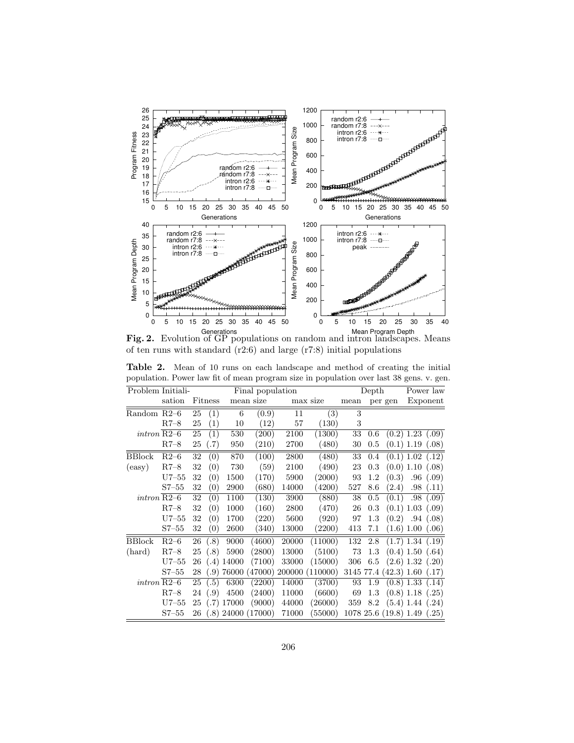

<span id="page-5-0"></span>Generations<br>**Fig. 2.** Evolution of GP populations on random and intron landscapes. Means of ten runs with standard (r2:6) and large (r7:8) initial populations

| Problem Initiali-       |         |    |         |              | Final population      |          |                         | Depth |         |                                | Power law                     |                      |  |
|-------------------------|---------|----|---------|--------------|-----------------------|----------|-------------------------|-------|---------|--------------------------------|-------------------------------|----------------------|--|
|                         | sation  |    | Fitness | mean size    |                       | max size |                         | mean  | per gen |                                | Exponent                      |                      |  |
| Random R2-6             |         | 25 | (1)     | 6            | (0.9)                 | 11       | (3)                     | 3     |         |                                |                               |                      |  |
|                         | $R7-8$  | 25 | (1)     | 10           | (12)                  | 57       | (130)                   | 3     |         |                                |                               |                      |  |
| $\int$ intron R2-6      |         | 25 | (1)     | 530          | (200)                 | 2100     | (1300)                  | 33    | $0.6\,$ |                                | $(0.2)$ 1.23 $(.09)$          |                      |  |
|                         | $R7-8$  | 25 | (.7)    | 950          | (210)                 | 2700     | (480)                   | 30    | 0.5     |                                | $(0.1)$ 1.19 $(.08)$          |                      |  |
| <b>BBlock</b>           | $R2-6$  | 32 | (0)     | 870          | (100)                 | 2800     | (480)                   | 33    | 0.4     |                                | $\overline{(0.1) 1.02}$ (.12) |                      |  |
| $\left($ easy $\right)$ | $R7-8$  | 32 | (0)     | 730          | (59)                  | 2100     | (490)                   | 23    | $0.3\,$ |                                | $(0.0)$ 1.10 $(.08)$          |                      |  |
|                         | $U7-55$ | 32 | (0)     | 1500         | (170)                 | 5900     | (2000)                  | 93    | 1.2     | (0.3)                          |                               | .96(0.09)            |  |
|                         | $S7-55$ | 32 | (0)     | 2900         | (680)                 | 14000    | (4200)                  | 527   | 8.6     | (2.4)                          |                               | .98(.11)             |  |
| $\int$ intron R2-6      |         | 32 | (0)     | 1100         | (130)                 | 3900     | (880)                   | 38    | $0.5\,$ | (0.1)                          |                               | .98(0.09)            |  |
|                         | $R7-8$  | 32 | (0)     | 1000         | (160)                 | 2800     | (470)                   | 26    | 0.3     |                                | $(0.1)$ 1.03 $(.09)$          |                      |  |
|                         | $U7-55$ | 32 | (0)     | 1700         | (220)                 | 5600     | (920)                   | 97    | 1.3     |                                | $(0.2)$ .94 $(.08)$           |                      |  |
|                         | $S7-55$ | 32 | (0)     | 2600         | (340)                 | 13000    | (2200)                  | 413   | 7.1     |                                | (1.6) 1.00 (.06)              |                      |  |
| <b>BBlock</b>           | $R2-6$  | 26 | (.8)    | 9000         | (4600)                | 20000    | (11000)                 | 132   | 2.8     |                                | $(1.7)$ 1.34 $(.19)$          |                      |  |
| (hard)                  | $R7-8$  | 25 | (.8)    | 5900         | (2800)                | 13000    | (5100)                  | 73    | 1.3     |                                | (0.4) 1.50 (0.64)             |                      |  |
|                         | $U7-55$ | 26 | (.4)    | 14000        | (7100)                | 33000    | (15000)                 | 306   | 6.5     |                                | $(2.6)$ 1.32 $(.20)$          |                      |  |
|                         | $S7-55$ | 28 | (.9)    | 76000        |                       |          | (47000) 200000 (110000) |       |         | 3145 77.4 (42.3) 1.60 (.17)    |                               |                      |  |
| $\int$ intron R2-6      |         | 25 | (.5)    | 6300         | (2200)                | 14000    | (3700)                  | 93    | 1.9     |                                |                               | $(0.8)$ 1.33 $(.14)$ |  |
|                         | $R7-8$  | 24 | (.9)    | 4500         | (2400)                | 11000    | (6600)                  | 69    | 1.3     |                                | $(0.8)$ 1.18 $(.25)$          |                      |  |
|                         | $U7-55$ | 25 |         | $(.7)$ 17000 | (9000)                | 44000    | (26000)                 | 359   |         | $8.2 \quad (5.4)$ 1.44 $(.24)$ |                               |                      |  |
|                         | $S7-55$ |    |         |              | 26 (.8) 24000 (17000) | 71000    | (55000)                 |       |         | 107825.6(19.8)1.49(.25)        |                               |                      |  |

<span id="page-5-1"></span>Table 2. Mean of 10 runs on each landscape and method of creating the initial population. Power law fit of mean program size in population over last 38 gens. v. gen.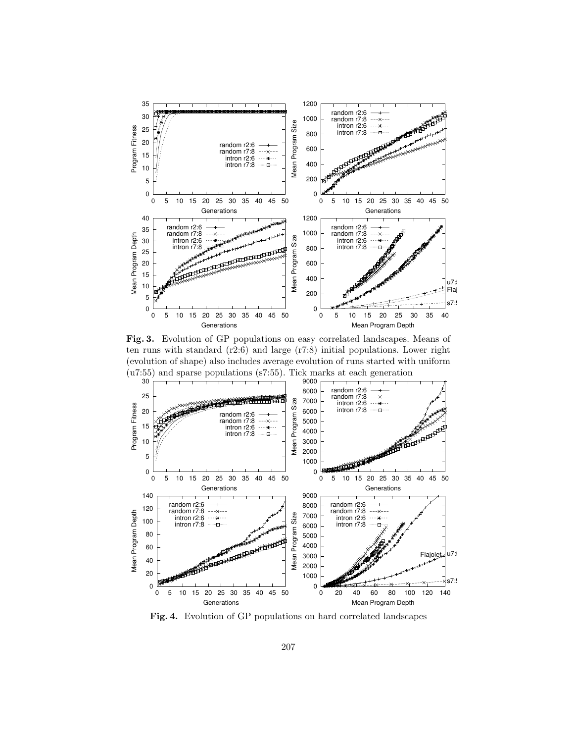

<span id="page-6-0"></span>Fig. 3. Evolution of GP populations on easy correlated landscapes. Means of ten runs with standard (r2:6) and large (r7:8) initial populations. Lower right (evolution of shape) also includes average evolution of runs started with uniform (u7:55) and sparse populations (s7:55). Tick marks at each generation



<span id="page-6-1"></span>Fig. 4. Evolution of GP populations on hard correlated landscapes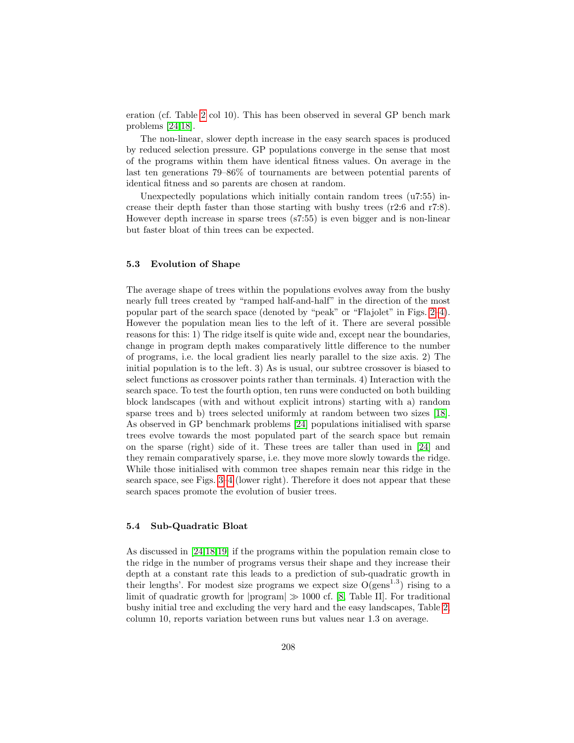eration (cf. Table [2](#page-5-1) col 10). This has been observed in several GP bench mark problems [\[24](#page-9-8)[,18\]](#page-9-14).

The non-linear, slower depth increase in the easy search spaces is produced by reduced selection pressure. GP populations converge in the sense that most of the programs within them have identical fitness values. On average in the last ten generations 79–86% of tournaments are between potential parents of identical fitness and so parents are chosen at random.

Unexpectedly populations which initially contain random trees (u7:55) increase their depth faster than those starting with bushy trees  $(r2:6 \text{ and } r7:8)$ . However depth increase in sparse trees (s7:55) is even bigger and is non-linear but faster bloat of thin trees can be expected.

#### 5.3 Evolution of Shape

The average shape of trees within the populations evolves away from the bushy nearly full trees created by "ramped half-and-half" in the direction of the most popular part of the search space (denoted by "peak" or "Flajolet" in Figs. [2–](#page-5-0)[4\)](#page-6-1). However the population mean lies to the left of it. There are several possible reasons for this: 1) The ridge itself is quite wide and, except near the boundaries, change in program depth makes comparatively little difference to the number of programs, i.e. the local gradient lies nearly parallel to the size axis. 2) The initial population is to the left. 3) As is usual, our subtree crossover is biased to select functions as crossover points rather than terminals. 4) Interaction with the search space. To test the fourth option, ten runs were conducted on both building block landscapes (with and without explicit introns) starting with a) random sparse trees and b) trees selected uniformly at random between two sizes [\[18\]](#page-9-14). As observed in GP benchmark problems [\[24\]](#page-9-8) populations initialised with sparse trees evolve towards the most populated part of the search space but remain on the sparse (right) side of it. These trees are taller than used in [\[24\]](#page-9-8) and they remain comparatively sparse, i.e. they move more slowly towards the ridge. While those initialised with common tree shapes remain near this ridge in the search space, see Figs. [3](#page-6-0)[–4](#page-6-1) (lower right). Therefore it does not appear that these search spaces promote the evolution of busier trees.

### 5.4 Sub-Quadratic Bloat

As discussed in [\[24,](#page-9-8)[18](#page-9-14)[,19\]](#page-9-22) if the programs within the population remain close to the ridge in the number of programs versus their shape and they increase their depth at a constant rate this leads to a prediction of sub-quadratic growth in their lengths'. For modest size programs we expect size  $O(gens^{1.3})$  rising to a limit of quadratic growth for  $|$ program $| \gg 1000$  cf. [\[8,](#page-8-9) Table II]. For traditional bushy initial tree and excluding the very hard and the easy landscapes, Table [2,](#page-5-1) column 10, reports variation between runs but values near 1.3 on average.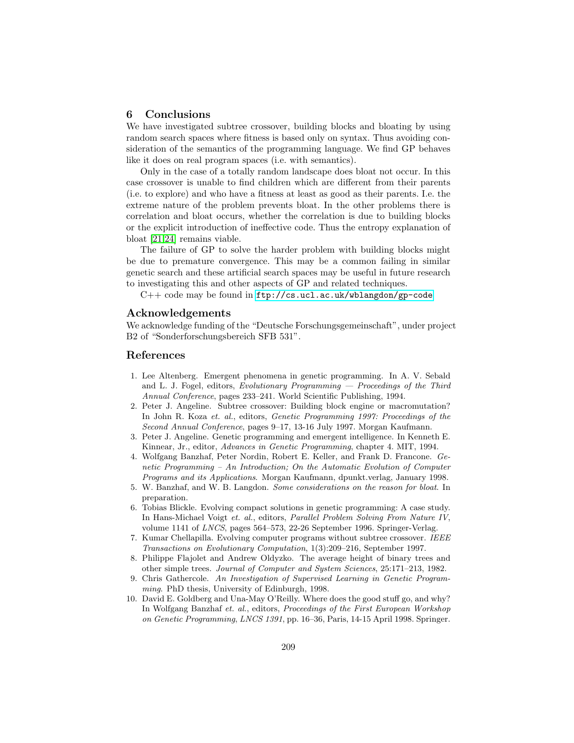### <span id="page-8-0"></span>6 Conclusions

We have investigated subtree crossover, building blocks and bloating by using random search spaces where fitness is based only on syntax. Thus avoiding consideration of the semantics of the programming language. We find GP behaves like it does on real program spaces (i.e. with semantics).

Only in the case of a totally random landscape does bloat not occur. In this case crossover is unable to find children which are different from their parents (i.e. to explore) and who have a fitness at least as good as their parents. I.e. the extreme nature of the problem prevents bloat. In the other problems there is correlation and bloat occurs, whether the correlation is due to building blocks or the explicit introduction of ineffective code. Thus the entropy explanation of bloat [\[21,](#page-9-18)[24\]](#page-9-8) remains viable.

The failure of GP to solve the harder problem with building blocks might be due to premature convergence. This may be a common failing in similar genetic search and these artificial search spaces may be useful in future research to investigating this and other aspects of GP and related techniques.

C++ code may be found in [ftp://cs.ucl.ac.uk/wblangdon/gp-code](http://www.cs.ucl.ac.uk/staff/W.Langdon/ftp/gp-code)

#### Acknowledgements

We acknowledge funding of the "Deutsche Forschungsgemeinschaft", under project B2 of "Sonderforschungsbereich SFB 531".

# References

- <span id="page-8-4"></span>1. Lee Altenberg. Emergent phenomena in genetic programming. In A. V. Sebald and L. J. Fogel, editors, Evolutionary Programming  $-$  Proceedings of the Third Annual Conference, pages 233–241. World Scientific Publishing, 1994.
- <span id="page-8-2"></span>2. Peter J. Angeline. Subtree crossover: Building block engine or macromutation? In John R. Koza et. al., editors, Genetic Programming 1997: Proceedings of the Second Annual Conference, pages 9–17, 13-16 July 1997. Morgan Kaufmann.
- <span id="page-8-8"></span>3. Peter J. Angeline. Genetic programming and emergent intelligence. In Kenneth E. Kinnear, Jr., editor, Advances in Genetic Programming, chapter 4. MIT, 1994.
- <span id="page-8-5"></span>4. Wolfgang Banzhaf, Peter Nordin, Robert E. Keller, and Frank D. Francone. Genetic Programming – An Introduction; On the Automatic Evolution of Computer Programs and its Applications. Morgan Kaufmann, dpunkt.verlag, January 1998.
- <span id="page-8-10"></span>5. W. Banzhaf, and W. B. Langdon. Some considerations on the reason for bloat. In preparation.
- <span id="page-8-6"></span>6. Tobias Blickle. Evolving compact solutions in genetic programming: A case study. In Hans-Michael Voigt et. al., editors, Parallel Problem Solving From Nature IV, volume 1141 of LNCS, pages 564–573, 22-26 September 1996. Springer-Verlag.
- <span id="page-8-3"></span>7. Kumar Chellapilla. Evolving computer programs without subtree crossover. IEEE Transactions on Evolutionary Computation, 1(3):209–216, September 1997.
- <span id="page-8-9"></span>8. Philippe Flajolet and Andrew Oldyzko. The average height of binary trees and other simple trees. Journal of Computer and System Sciences, 25:171–213, 1982.
- <span id="page-8-7"></span>9. Chris Gathercole. An Investigation of Supervised Learning in Genetic Programming. PhD thesis, University of Edinburgh, 1998.
- <span id="page-8-1"></span>10. David E. Goldberg and Una-May O'Reilly. Where does the good stuff go, and why? In Wolfgang Banzhaf et. al., editors, Proceedings of the First European Workshop on Genetic Programming, LNCS 1391, pp. 16–36, Paris, 14-15 April 1998. Springer.